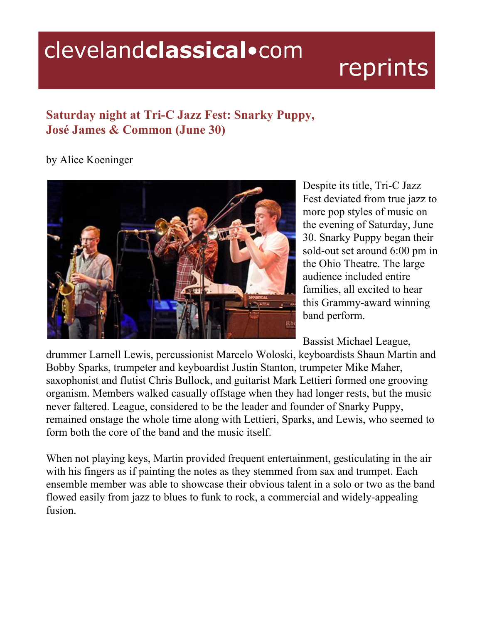## clevelandclassical.com

## reprints

## **Saturday night at Tri-C Jazz Fest: Snarky Puppy, José James & Common (June 30)**

## by Alice Koeninger



Despite its title, Tri-C Jazz Fest deviated from true jazz to more pop styles of music on the evening of Saturday, June 30. Snarky Puppy began their sold-out set around 6:00 pm in the Ohio Theatre. The large audience included entire families, all excited to hear this Grammy-award winning band perform.

Bassist Michael League,

drummer Larnell Lewis, percussionist Marcelo Woloski, keyboardists Shaun Martin and Bobby Sparks, trumpeter and keyboardist Justin Stanton, trumpeter Mike Maher, saxophonist and flutist Chris Bullock, and guitarist Mark Lettieri formed one grooving organism. Members walked casually offstage when they had longer rests, but the music never faltered. League, considered to be the leader and founder of Snarky Puppy, remained onstage the whole time along with Lettieri, Sparks, and Lewis, who seemed to form both the core of the band and the music itself.

When not playing keys, Martin provided frequent entertainment, gesticulating in the air with his fingers as if painting the notes as they stemmed from sax and trumpet. Each ensemble member was able to showcase their obvious talent in a solo or two as the band flowed easily from jazz to blues to funk to rock, a commercial and widely-appealing fusion.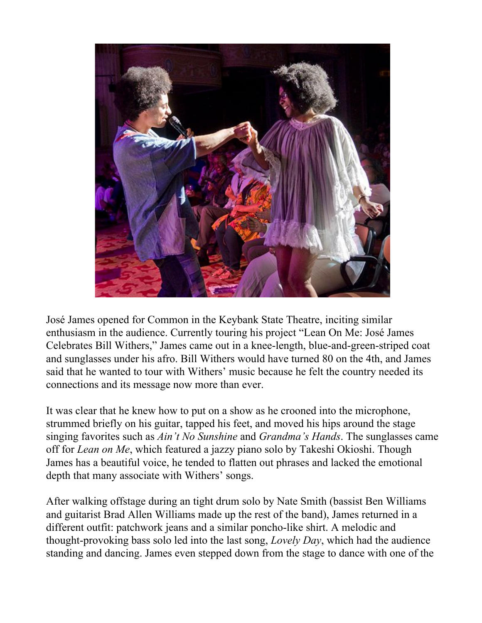

José James opened for Common in the Keybank State Theatre, inciting similar enthusiasm in the audience. Currently touring his project "Lean On Me: José James Celebrates Bill Withers," James came out in a knee-length, blue-and-green-striped coat and sunglasses under his afro. Bill Withers would have turned 80 on the 4th, and James said that he wanted to tour with Withers' music because he felt the country needed its connections and its message now more than ever.

It was clear that he knew how to put on a show as he crooned into the microphone, strummed briefly on his guitar, tapped his feet, and moved his hips around the stage singing favorites such as *Ain't No Sunshine* and *Grandma's Hands*. The sunglasses came off for *Lean on Me*, which featured a jazzy piano solo by Takeshi Okioshi. Though James has a beautiful voice, he tended to flatten out phrases and lacked the emotional depth that many associate with Withers' songs.

After walking offstage during an tight drum solo by Nate Smith (bassist Ben Williams and guitarist Brad Allen Williams made up the rest of the band), James returned in a different outfit: patchwork jeans and a similar poncho-like shirt. A melodic and thought-provoking bass solo led into the last song, *Lovely Day*, which had the audience standing and dancing. James even stepped down from the stage to dance with one of the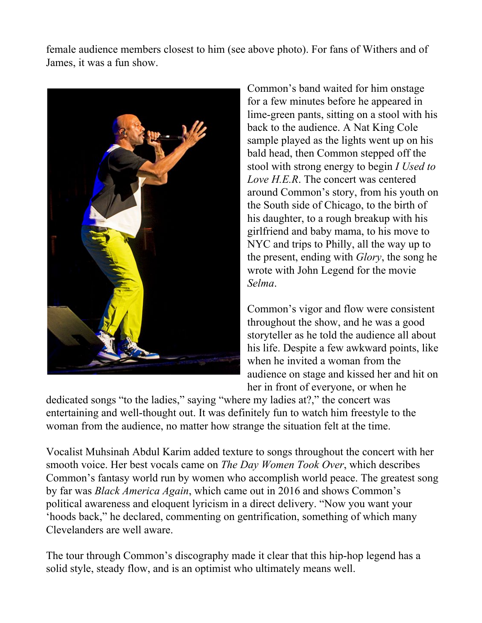female audience members closest to him (see above photo). For fans of Withers and of James, it was a fun show.



Common's band waited for him onstage for a few minutes before he appeared in lime-green pants, sitting on a stool with his back to the audience. A Nat King Cole sample played as the lights went up on his bald head, then Common stepped off the stool with strong energy to begin *I Used to Love H.E.R*. The concert was centered around Common's story, from his youth on the South side of Chicago, to the birth of his daughter, to a rough breakup with his girlfriend and baby mama, to his move to NYC and trips to Philly, all the way up to the present, ending with *Glory*, the song he wrote with John Legend for the movie *Selma*.

Common's vigor and flow were consistent throughout the show, and he was a good storyteller as he told the audience all about his life. Despite a few awkward points, like when he invited a woman from the audience on stage and kissed her and hit on her in front of everyone, or when he

dedicated songs "to the ladies," saying "where my ladies at?," the concert was entertaining and well-thought out. It was definitely fun to watch him freestyle to the woman from the audience, no matter how strange the situation felt at the time.

Vocalist Muhsinah Abdul Karim added texture to songs throughout the concert with her smooth voice. Her best vocals came on *The Day Women Took Over*, which describes Common's fantasy world run by women who accomplish world peace. The greatest song by far was *Black America Again*, which came out in 2016 and shows Common's political awareness and eloquent lyricism in a direct delivery. "Now you want your 'hoods back," he declared, commenting on gentrification, something of which many Clevelanders are well aware.

The tour through Common's discography made it clear that this hip-hop legend has a solid style, steady flow, and is an optimist who ultimately means well.